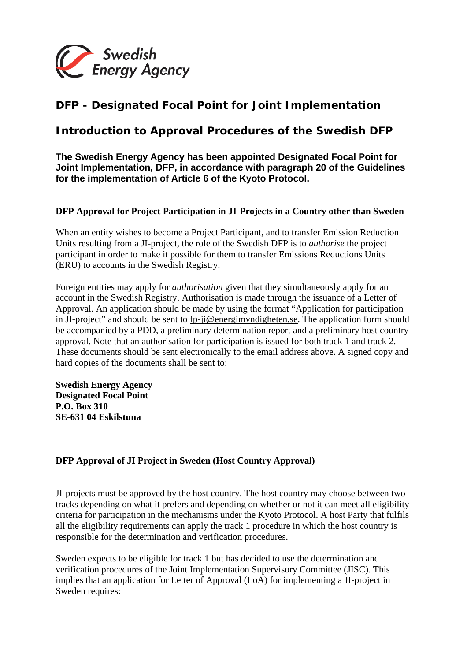

## **DFP - Designated Focal Point for Joint Implementation**

## *Introduction to Approval Procedures of the Swedish DFP*

**The Swedish Energy Agency has been appointed Designated Focal Point for Joint Implementation, DFP, in accordance with paragraph 20 of the Guidelines for the implementation of Article 6 of the Kyoto Protocol.**

## **DFP Approval for Project Participation in JI-Projects in a Country other than Sweden**

When an entity wishes to become a Project Participant, and to transfer Emission Reduction Units resulting from a JI-project, the role of the Swedish DFP is to *authorise* the project participant in order to make it possible for them to transfer Emissions Reductions Units (ERU) to accounts in the Swedish Registry.

Foreign entities may apply for *authorisation* given that they simultaneously apply for an account in the Swedish Registry. Authorisation is made through the issuance of a Letter of Approval. An application should be made by using the format "Application for participation in JI-project" and should be sent to fp-ji@energimyndigheten.se. The application form should be accompanied by a PDD, a preliminary determination report and a preliminary host country approval. Note that an authorisation for participation is issued for both track 1 and track 2. These documents should be sent electronically to the email address above. A signed copy and hard copies of the documents shall be sent to:

**Swedish Energy Agency Designated Focal Point P.O. Box 310 SE-631 04 Eskilstuna** 

## **DFP Approval of JI Project in Sweden (Host Country Approval)**

JI-projects must be approved by the host country. The host country may choose between two tracks depending on what it prefers and depending on whether or not it can meet all eligibility criteria for participation in the mechanisms under the Kyoto Protocol. A host Party that fulfils all the eligibility requirements can apply the track 1 procedure in which the host country is responsible for the determination and verification procedures.

Sweden expects to be eligible for track 1 but has decided to use the determination and verification procedures of the Joint Implementation Supervisory Committee (JISC). This implies that an application for Letter of Approval (LoA) for implementing a JI-project in Sweden requires: